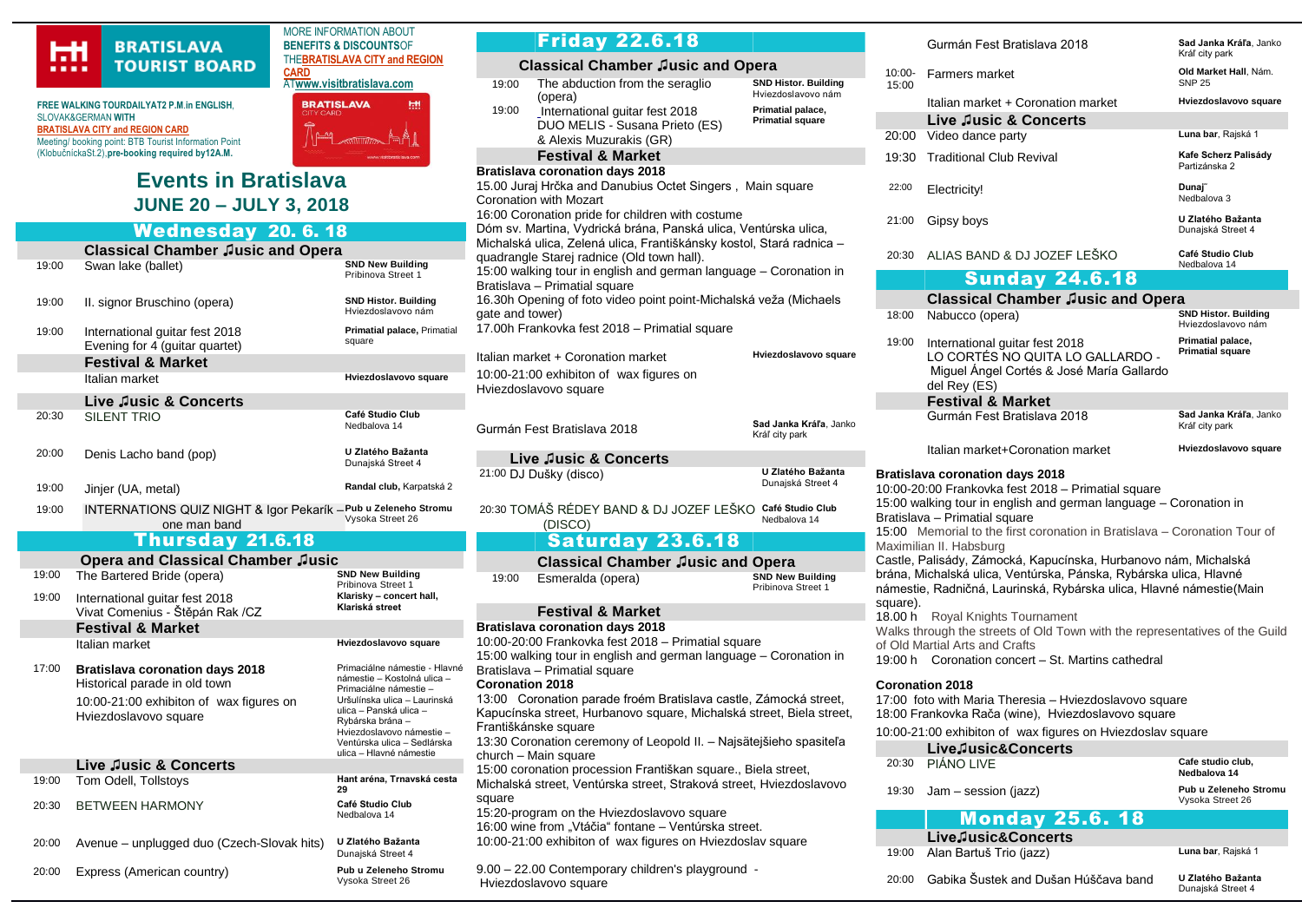

**FREE WALKING TOURDAILYAT2 P.M**.**in ENGLISH**, SLOVAK&GERMAN **WITH [BRATISLAVA CITY and REGION CARD](https://www.visitbratislava.com/your-trip/stay-in-the-city/city-card-advantages/)** Meeting/ booking point: BTB Tourist Information Point (KlobučníckaSt.2),**pre-booking required by12A.M.**

## THE**[BRATISLAVA CITY and REGION](https://www.visitbratislava.com/your-trip/stay-in-the-city/city-card-advantages/)  [CARD](https://www.visitbratislava.com/your-trip/stay-in-the-city/city-card-advantages/)** AT**[www.visitbratislava.com](http://www.visitbratislava.com/) BRATISLAVA IHH**

MORE INFORMATION ABOUT **BENEFITS & DISCOUNTS**OF



## Wednesday 20. 6. 18

|       | TUMILUJMAJ<br>- 201 VI 19                                                                                                                   |                                                                                                                                                                                                                                                             |  |  |
|-------|---------------------------------------------------------------------------------------------------------------------------------------------|-------------------------------------------------------------------------------------------------------------------------------------------------------------------------------------------------------------------------------------------------------------|--|--|
|       | <b>Classical Chamber Jusic and Opera</b>                                                                                                    |                                                                                                                                                                                                                                                             |  |  |
| 19:00 | Swan lake (ballet)                                                                                                                          | <b>SND New Building</b><br>Pribinova Street 1                                                                                                                                                                                                               |  |  |
| 19:00 | II. signor Bruschino (opera)                                                                                                                | <b>SND Histor. Building</b><br>Hviezdoslavovo nám                                                                                                                                                                                                           |  |  |
| 19:00 | International quitar fest 2018<br>Evening for 4 (guitar quartet)                                                                            | Primatial palace, Primatial<br>square                                                                                                                                                                                                                       |  |  |
|       | <b>Festival &amp; Market</b>                                                                                                                |                                                                                                                                                                                                                                                             |  |  |
|       | Italian market                                                                                                                              | Hviezdoslavovo square                                                                                                                                                                                                                                       |  |  |
|       | Live Jusic & Concerts                                                                                                                       |                                                                                                                                                                                                                                                             |  |  |
| 20:30 | <b>SILENT TRIO</b>                                                                                                                          | Café Studio Club<br>Nedbalova 14                                                                                                                                                                                                                            |  |  |
| 20:00 | Denis Lacho band (pop)                                                                                                                      | U Zlatého Bažanta<br>Dunajská Street 4                                                                                                                                                                                                                      |  |  |
| 19:00 | Jinjer (UA, metal)                                                                                                                          | Randal club, Karpatská 2                                                                                                                                                                                                                                    |  |  |
| 19:00 | INTERNATIONS QUIZ NIGHT & Igor Pekarík - Pub u Zeleneho Stromu<br>one man band                                                              | Vysoka Street 26                                                                                                                                                                                                                                            |  |  |
|       | Thursday 21.6.18                                                                                                                            |                                                                                                                                                                                                                                                             |  |  |
|       | <b>Opera and Classical Chamber Jusic</b>                                                                                                    |                                                                                                                                                                                                                                                             |  |  |
| 19:00 | The Bartered Bride (opera)                                                                                                                  | <b>SND New Building</b><br>Pribinova Street 1                                                                                                                                                                                                               |  |  |
| 19:00 | International guitar fest 2018<br>Vivat Comenius - Štěpán Rak /CZ                                                                           | Klarisky - concert hall,<br>Klariská street                                                                                                                                                                                                                 |  |  |
|       | <b>Festival &amp; Market</b>                                                                                                                |                                                                                                                                                                                                                                                             |  |  |
|       | Italian market                                                                                                                              | Hviezdoslavovo square                                                                                                                                                                                                                                       |  |  |
| 17:00 | <b>Bratislava coronation days 2018</b><br>Historical parade in old town<br>10:00-21:00 exhibiton of wax figures on<br>Hviezdoslavovo square | Primaciálne námestie - Hlavné<br>námestie - Kostolná ulica -<br>Primaciálne námestie -<br>Uršulínska ulica - Laurinská<br>ulica - Panská ulica -<br>Rvbárska brána -<br>Hviezdoslavovo námestie -<br>Ventúrska ulica - Sedlárska<br>ulica - Hlavné námestie |  |  |
|       | Live Jusic & Concerts                                                                                                                       |                                                                                                                                                                                                                                                             |  |  |
| 19:00 | Tom Odell, Tollstoys                                                                                                                        | Hant aréna, Trnavská cesta<br>29                                                                                                                                                                                                                            |  |  |
| 20:30 | <b>BETWEEN HARMONY</b>                                                                                                                      | Café Studio Club<br>Nedbalova 14                                                                                                                                                                                                                            |  |  |
| 20:00 | Avenue – unplugged duo (Czech-Slovak hits)                                                                                                  | U Zlatého Bažanta<br>Dunajská Street 4                                                                                                                                                                                                                      |  |  |

20:00 Express (American country) **Pub u Zeleneho Stromu**

Vysoka Street 26

19:00 The abduction from the seraglio (opera) **SND Histor. Building** Hviezdoslavovo nám 19:00 [International guitar fest 2018](https://www.citylife.sk/koncert/duo-melis) DUO MELIS - [Susana Prieto](https://www.citylife.sk/koncert/duo-melis) (ES) & [Alexis Muzurakis](https://www.citylife.sk/koncert/duo-melis) (GR) **Primatial palace, Primatial square Festival & Market Bratislava coronation days 2018** 15.00 Juraj Hrčka and Danubius Octet Singers , Main square Coronation with Mozart 16:00 Coronation pride for children with costume Dóm sv. Martina, Vydrická brána, Panská ulica, Ventúrska ulica, lichalská ulica, Zelená ulica, Františkánsky kostol, Stará radnica – uadrangle Starej radnice (Old town hall). 15:00 walking tour in english and german language – Coronation in Bratislava – Primatial square 16.30h Opening of foto video point point-Michalská veža (Michaels ate and tower) 17.00h Frankovka fest 2018 – Primatial square alian market + Coronation market 0:00-21:00 exhibiton of wax figures on lviezdoslavovo square Gurmán Fest Bratislava 2018 **Hviezdoslavovo square Sad Janka Kráľa**, Janko Kráľ city park **Live ♫usic & Concerts** 21:00 DJ Dušky (disco) **U Zlatého Bažanta** Dunajská Street 4 20:30 TOMÁŠ RÉDEY BAND & DJ JOZEF LEŠKO **Café Studio Club** (DISCO) Nedbalova 14 Saturday 23.6.18 **Classical Chamber ♫usic and Opera** 19:00 **Esmeralda (opera)** Pribinova Street 1 **Festival & Market Bratislava coronation days 2018** 10:00-20:00 Frankovka fest 2018 – Primatial square 15:00 walking tour in english and german language – Coronation in ratislava – Primatial square **Coronation 2018** 13:00 Coronation parade froém Bratislava castle, Zámocká street, apucínska street, Hurbanovo square, Michalská street, Biela street, rantiškánske square 13:30 Coronation ceremony of Leopold II. – Najsätejšieho spasiteľa hurch – Main square 15:00 coronation procession Františkan square., Biela street,

Friday 22.6.18

 **Classical Chamber ♫usic and Opera**

lichalská street, Ventúrska street, Straková street, Hviezdoslavovo quare

15:20-program on the Hviezdoslavovo square 6:00 wine from "Vtáčia" fontane – Ventúrska street.

0:00-21:00 exhibiton of wax figures on Hviezdoslav square

9.00 – 22.00 Contemporary children's playground - Hviezdoslavovo square

|                                                                                                                                                                                                                                                                                                                                                                                                                                                                                                                                                                                                                                                                                                                                                     | Gurmán Fest Bratislava 2018                                                                                                                                     | Sad Janka Kráľa, Janko<br>Kráľ city park                                                                                                                                                                                                                                                                                             |  |  |  |  |  |  |  |
|-----------------------------------------------------------------------------------------------------------------------------------------------------------------------------------------------------------------------------------------------------------------------------------------------------------------------------------------------------------------------------------------------------------------------------------------------------------------------------------------------------------------------------------------------------------------------------------------------------------------------------------------------------------------------------------------------------------------------------------------------------|-----------------------------------------------------------------------------------------------------------------------------------------------------------------|--------------------------------------------------------------------------------------------------------------------------------------------------------------------------------------------------------------------------------------------------------------------------------------------------------------------------------------|--|--|--|--|--|--|--|
| $10:00 -$<br>15:00                                                                                                                                                                                                                                                                                                                                                                                                                                                                                                                                                                                                                                                                                                                                  | Farmers market                                                                                                                                                  | Old Market Hall, Nám.<br><b>SNP 25</b>                                                                                                                                                                                                                                                                                               |  |  |  |  |  |  |  |
|                                                                                                                                                                                                                                                                                                                                                                                                                                                                                                                                                                                                                                                                                                                                                     | Italian market + Coronation market                                                                                                                              | Hviezdoslavovo square                                                                                                                                                                                                                                                                                                                |  |  |  |  |  |  |  |
| Live Jusic & Concerts                                                                                                                                                                                                                                                                                                                                                                                                                                                                                                                                                                                                                                                                                                                               |                                                                                                                                                                 |                                                                                                                                                                                                                                                                                                                                      |  |  |  |  |  |  |  |
|                                                                                                                                                                                                                                                                                                                                                                                                                                                                                                                                                                                                                                                                                                                                                     | Video dance party                                                                                                                                               | Luna bar, Rajská 1                                                                                                                                                                                                                                                                                                                   |  |  |  |  |  |  |  |
| 19:30                                                                                                                                                                                                                                                                                                                                                                                                                                                                                                                                                                                                                                                                                                                                               | <b>Traditional Club Revival</b>                                                                                                                                 | Kafe Scherz Palisády<br>Partizánska 2                                                                                                                                                                                                                                                                                                |  |  |  |  |  |  |  |
| 22:00                                                                                                                                                                                                                                                                                                                                                                                                                                                                                                                                                                                                                                                                                                                                               | Electricity!                                                                                                                                                    | Dunaj <sup>~</sup><br>Nedbalova 3                                                                                                                                                                                                                                                                                                    |  |  |  |  |  |  |  |
| 21:00                                                                                                                                                                                                                                                                                                                                                                                                                                                                                                                                                                                                                                                                                                                                               | Gipsy boys                                                                                                                                                      | U Zlatého Bažanta<br>Dunajská Street 4                                                                                                                                                                                                                                                                                               |  |  |  |  |  |  |  |
| 20:30                                                                                                                                                                                                                                                                                                                                                                                                                                                                                                                                                                                                                                                                                                                                               | ALIAS BAND & DJ JOZEF LEŠKO                                                                                                                                     | Café Studio Club<br>Nedbalova 14                                                                                                                                                                                                                                                                                                     |  |  |  |  |  |  |  |
|                                                                                                                                                                                                                                                                                                                                                                                                                                                                                                                                                                                                                                                                                                                                                     |                                                                                                                                                                 |                                                                                                                                                                                                                                                                                                                                      |  |  |  |  |  |  |  |
|                                                                                                                                                                                                                                                                                                                                                                                                                                                                                                                                                                                                                                                                                                                                                     |                                                                                                                                                                 |                                                                                                                                                                                                                                                                                                                                      |  |  |  |  |  |  |  |
| 18:00                                                                                                                                                                                                                                                                                                                                                                                                                                                                                                                                                                                                                                                                                                                                               | Nabucco (opera)                                                                                                                                                 | <b>SND Histor. Building</b><br>Hviezdoslavovo nám                                                                                                                                                                                                                                                                                    |  |  |  |  |  |  |  |
| 19:00                                                                                                                                                                                                                                                                                                                                                                                                                                                                                                                                                                                                                                                                                                                                               | Primatial palace,<br>International quitar fest 2018<br><b>Primatial square</b><br>LO CORTÉS NO QUITA LO GALLARDO -<br>Miguel Ángel Cortés & José María Gallardo |                                                                                                                                                                                                                                                                                                                                      |  |  |  |  |  |  |  |
|                                                                                                                                                                                                                                                                                                                                                                                                                                                                                                                                                                                                                                                                                                                                                     | <b>Festival &amp; Market</b>                                                                                                                                    |                                                                                                                                                                                                                                                                                                                                      |  |  |  |  |  |  |  |
|                                                                                                                                                                                                                                                                                                                                                                                                                                                                                                                                                                                                                                                                                                                                                     | Gurmán Fest Bratislava 2018                                                                                                                                     | Sad Janka Kráľa, Janko<br>Kráľ city park                                                                                                                                                                                                                                                                                             |  |  |  |  |  |  |  |
|                                                                                                                                                                                                                                                                                                                                                                                                                                                                                                                                                                                                                                                                                                                                                     | Italian market+Coronation market                                                                                                                                | Hviezdoslavovo square                                                                                                                                                                                                                                                                                                                |  |  |  |  |  |  |  |
| <b>Bratislava coronation days 2018</b><br>10:00-20:00 Frankovka fest 2018 - Primatial square<br>15:00 walking tour in english and german language - Coronation in<br>Bratislava - Primatial square<br>15:00 Memorial to the first coronation in Bratislava - Coronation Tour of<br>Maximilian II. Habsburg<br>Castle, Palisády, Zámocká, Kapucínska, Hurbanovo nám, Michalská<br>brána, Michalská ulica, Ventúrska, Pánska, Rybárska ulica, Hlavné<br>námestie, Radničná, Laurinská, Rybárska ulica, Hlavné námestie(Main<br>square).<br>18.00 h<br>Royal Knights Tournament<br>Walks through the streets of Old Town with the representatives of the Guild<br>of Old Martial Arts and Crafts<br>19:00 h Coronation concert - St. Martins cathedral |                                                                                                                                                                 |                                                                                                                                                                                                                                                                                                                                      |  |  |  |  |  |  |  |
|                                                                                                                                                                                                                                                                                                                                                                                                                                                                                                                                                                                                                                                                                                                                                     |                                                                                                                                                                 |                                                                                                                                                                                                                                                                                                                                      |  |  |  |  |  |  |  |
| 10:00-21:00 exhibiton of wax figures on Hviezdoslav square                                                                                                                                                                                                                                                                                                                                                                                                                                                                                                                                                                                                                                                                                          |                                                                                                                                                                 |                                                                                                                                                                                                                                                                                                                                      |  |  |  |  |  |  |  |
|                                                                                                                                                                                                                                                                                                                                                                                                                                                                                                                                                                                                                                                                                                                                                     | Live,Jusic&Concerts                                                                                                                                             |                                                                                                                                                                                                                                                                                                                                      |  |  |  |  |  |  |  |
| 20:30                                                                                                                                                                                                                                                                                                                                                                                                                                                                                                                                                                                                                                                                                                                                               |                                                                                                                                                                 | Cafe studio club,<br>Nedbalova 14                                                                                                                                                                                                                                                                                                    |  |  |  |  |  |  |  |
| 19:30                                                                                                                                                                                                                                                                                                                                                                                                                                                                                                                                                                                                                                                                                                                                               | Jam – session (jazz)                                                                                                                                            | Pub u Zeleneho Stromu<br>Vysoka Street 26                                                                                                                                                                                                                                                                                            |  |  |  |  |  |  |  |
|                                                                                                                                                                                                                                                                                                                                                                                                                                                                                                                                                                                                                                                                                                                                                     |                                                                                                                                                                 |                                                                                                                                                                                                                                                                                                                                      |  |  |  |  |  |  |  |
|                                                                                                                                                                                                                                                                                                                                                                                                                                                                                                                                                                                                                                                                                                                                                     |                                                                                                                                                                 |                                                                                                                                                                                                                                                                                                                                      |  |  |  |  |  |  |  |
| 19:00                                                                                                                                                                                                                                                                                                                                                                                                                                                                                                                                                                                                                                                                                                                                               |                                                                                                                                                                 | Luna bar, Rajská 1                                                                                                                                                                                                                                                                                                                   |  |  |  |  |  |  |  |
|                                                                                                                                                                                                                                                                                                                                                                                                                                                                                                                                                                                                                                                                                                                                                     |                                                                                                                                                                 | 20:00<br><b>Sunday 24.6.18</b><br><b>Classical Chamber Jusic and Opera</b><br>del Rey (ES)<br><b>Coronation 2018</b><br>17:00 foto with Maria Theresia - Hviezdoslavovo square<br>18:00 Frankovka Rača (wine), Hviezdoslavovo square<br><b>PIÁNO LIVE</b><br><b>Monday 25.6.18</b><br>Live,Jusic&Concerts<br>Alan Bartuš Trio (jazz) |  |  |  |  |  |  |  |

20:00 Gabika Šustek and Dušan Húščava band **U Zlatého Bažanta**

Dunajská Street 4